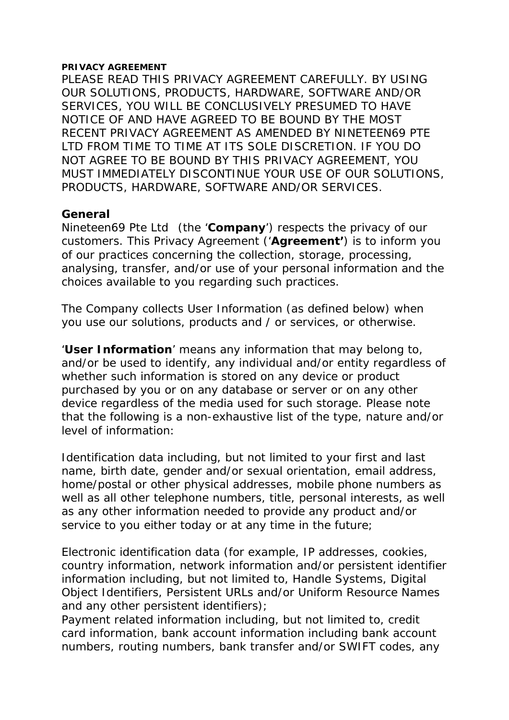#### **PRIVACY AGREEMENT**

PLEASE READ THIS PRIVACY AGREEMENT CAREFULLY. BY USING OUR SOLUTIONS, PRODUCTS, HARDWARE, SOFTWARE AND/OR SERVICES, YOU WILL BE CONCLUSIVELY PRESUMED TO HAVE NOTICE OF AND HAVE AGREED TO BE BOUND BY THE MOST RECENT PRIVACY AGREEMENT AS AMENDED BY NINETEEN69 PTE LTD FROM TIME TO TIME AT ITS SOLE DISCRETION. IF YOU DO NOT AGREE TO BE BOUND BY THIS PRIVACY AGREEMENT, YOU MUST IMMEDIATELY DISCONTINUE YOUR USE OF OUR SOLUTIONS, PRODUCTS, HARDWARE, SOFTWARE AND/OR SERVICES.

#### **General**

Nineteen69 Pte Ltd (the '**Company**') respects the privacy of our customers. This Privacy Agreement ('**Agreement'**) is to inform you of our practices concerning the collection, storage, processing, analysing, transfer, and/or use of your personal information and the choices available to you regarding such practices.

The Company collects User Information (as defined below) when you use our solutions, products and / or services, or otherwise.

'**User Information**' means any information that may belong to, and/or be used to identify, any individual and/or entity regardless of whether such information is stored on any device or product purchased by you or on any database or server or on any other device regardless of the media used for such storage. Please note that the following is a non-exhaustive list of the type, nature and/or level of information:

Identification data including, but not limited to your first and last name, birth date, gender and/or sexual orientation, email address, home/postal or other physical addresses, mobile phone numbers as well as all other telephone numbers, title, personal interests, as well as any other information needed to provide any product and/or service to you either today or at any time in the future;

Electronic identification data (for example, IP addresses, cookies, country information, network information and/or persistent identifier information including, but not limited to, Handle Systems, Digital Object Identifiers, Persistent URLs and/or Uniform Resource Names and any other persistent identifiers);

Payment related information including, but not limited to, credit card information, bank account information including bank account numbers, routing numbers, bank transfer and/or SWIFT codes, any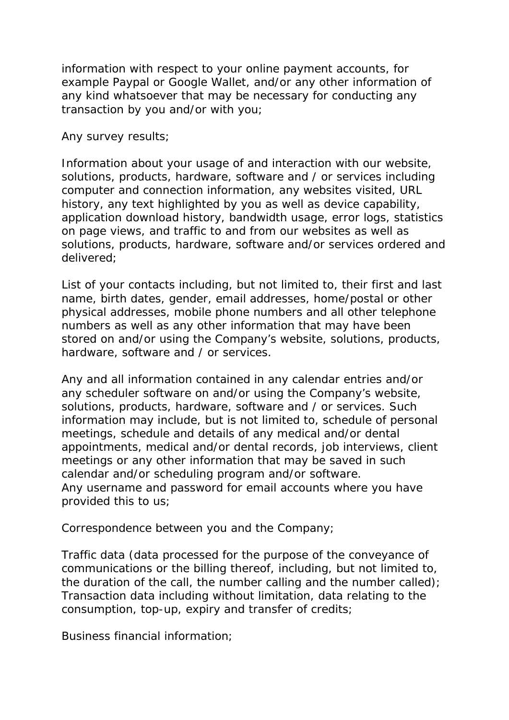information with respect to your online payment accounts, for example Paypal or Google Wallet, and/or any other information of any kind whatsoever that may be necessary for conducting any transaction by you and/or with you;

Any survey results;

Information about your usage of and interaction with our website, solutions, products, hardware, software and / or services including computer and connection information, any websites visited, URL history, any text highlighted by you as well as device capability, application download history, bandwidth usage, error logs, statistics on page views, and traffic to and from our websites as well as solutions, products, hardware, software and/or services ordered and delivered;

List of your contacts including, but not limited to, their first and last name, birth dates, gender, email addresses, home/postal or other physical addresses, mobile phone numbers and all other telephone numbers as well as any other information that may have been stored on and/or using the Company's website, solutions, products, hardware, software and / or services.

Any and all information contained in any calendar entries and/or any scheduler software on and/or using the Company's website, solutions, products, hardware, software and / or services. Such information may include, but is not limited to, schedule of personal meetings, schedule and details of any medical and/or dental appointments, medical and/or dental records, job interviews, client meetings or any other information that may be saved in such calendar and/or scheduling program and/or software. Any username and password for email accounts where you have provided this to us;

Correspondence between you and the Company;

Traffic data (data processed for the purpose of the conveyance of communications or the billing thereof, including, but not limited to, the duration of the call, the number calling and the number called); Transaction data including without limitation, data relating to the consumption, top-up, expiry and transfer of credits;

Business financial information;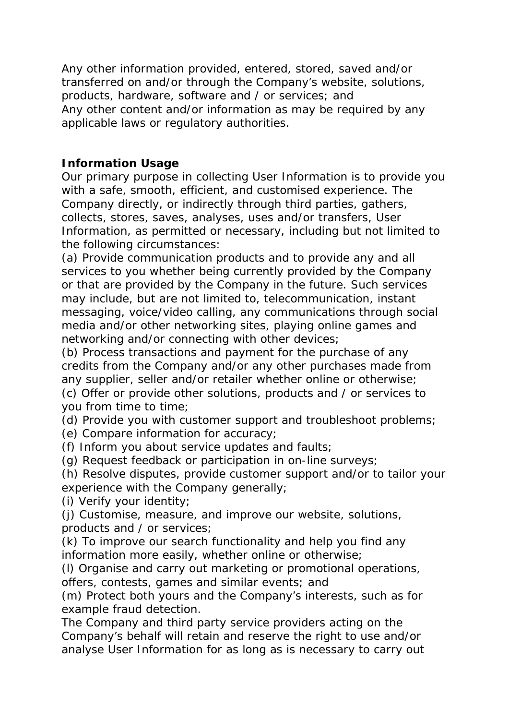Any other information provided, entered, stored, saved and/or transferred on and/or through the Company's website, solutions, products, hardware, software and / or services; and Any other content and/or information as may be required by any applicable laws or regulatory authorities.

# **Information Usage**

Our primary purpose in collecting User Information is to provide you with a safe, smooth, efficient, and customised experience. The Company directly, or indirectly through third parties, gathers, collects, stores, saves, analyses, uses and/or transfers, User Information, as permitted or necessary, including but not limited to the following circumstances:

(a) Provide communication products and to provide any and all services to you whether being currently provided by the Company or that are provided by the Company in the future. Such services may include, but are not limited to, telecommunication, instant messaging, voice/video calling, any communications through social media and/or other networking sites, playing online games and networking and/or connecting with other devices;

(b) Process transactions and payment for the purchase of any credits from the Company and/or any other purchases made from any supplier, seller and/or retailer whether online or otherwise;

(c) Offer or provide other solutions, products and / or services to you from time to time;

(d) Provide you with customer support and troubleshoot problems;

(e) Compare information for accuracy;

(f) Inform you about service updates and faults;

(g) Request feedback or participation in on-line surveys;

(h) Resolve disputes, provide customer support and/or to tailor your experience with the Company generally;

(i) Verify your identity;

(j) Customise, measure, and improve our website, solutions, products and / or services;

(k) To improve our search functionality and help you find any information more easily, whether online or otherwise;

(l) Organise and carry out marketing or promotional operations, offers, contests, games and similar events; and

(m) Protect both yours and the Company's interests, such as for example fraud detection.

The Company and third party service providers acting on the Company's behalf will retain and reserve the right to use and/or analyse User Information for as long as is necessary to carry out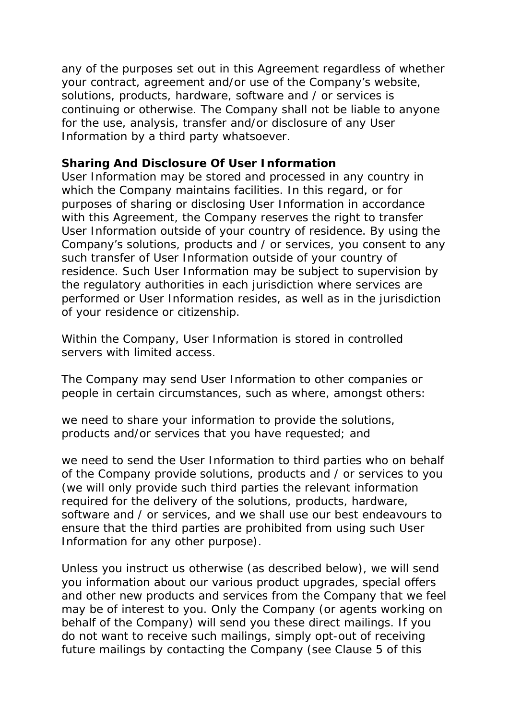any of the purposes set out in this Agreement regardless of whether your contract, agreement and/or use of the Company's website, solutions, products, hardware, software and / or services is continuing or otherwise. The Company shall not be liable to anyone for the use, analysis, transfer and/or disclosure of any User Information by a third party whatsoever.

### **Sharing And Disclosure Of User Information**

User Information may be stored and processed in any country in which the Company maintains facilities. In this regard, or for purposes of sharing or disclosing User Information in accordance with this Agreement, the Company reserves the right to transfer User Information outside of your country of residence. By using the Company's solutions, products and / or services, you consent to any such transfer of User Information outside of your country of residence. Such User Information may be subject to supervision by the regulatory authorities in each jurisdiction where services are performed or User Information resides, as well as in the jurisdiction of your residence or citizenship.

Within the Company, User Information is stored in controlled servers with limited access.

The Company may send User Information to other companies or people in certain circumstances, such as where, amongst others:

we need to share your information to provide the solutions, products and/or services that you have requested; and

we need to send the User Information to third parties who on behalf of the Company provide solutions, products and / or services to you (we will only provide such third parties the relevant information required for the delivery of the solutions, products, hardware, software and / or services, and we shall use our best endeavours to ensure that the third parties are prohibited from using such User Information for any other purpose).

Unless you instruct us otherwise (as described below), we will send you information about our various product upgrades, special offers and other new products and services from the Company that we feel may be of interest to you. Only the Company (or agents working on behalf of the Company) will send you these direct mailings. If you do not want to receive such mailings, simply opt-out of receiving future mailings by contacting the Company (see Clause 5 of this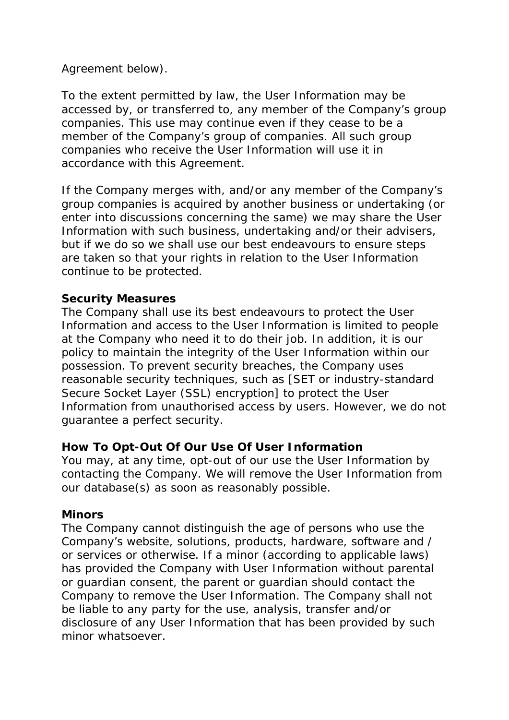# Agreement below).

To the extent permitted by law, the User Information may be accessed by, or transferred to, any member of the Company's group companies. This use may continue even if they cease to be a member of the Company's group of companies. All such group companies who receive the User Information will use it in accordance with this Agreement.

If the Company merges with, and/or any member of the Company's group companies is acquired by another business or undertaking (or enter into discussions concerning the same) we may share the User Information with such business, undertaking and/or their advisers, but if we do so we shall use our best endeavours to ensure steps are taken so that your rights in relation to the User Information continue to be protected.

## **Security Measures**

The Company shall use its best endeavours to protect the User Information and access to the User Information is limited to people at the Company who need it to do their job. In addition, it is our policy to maintain the integrity of the User Information within our possession. To prevent security breaches, the Company uses reasonable security techniques, such as [*SET or industry-standard Secure Socket Layer (SSL) encryption*] to protect the User Information from unauthorised access by users. However, we do not guarantee a perfect security.

## **How To Opt-Out Of Our Use Of User Information**

You may, at any time, opt-out of our use the User Information by contacting the Company. We will remove the User Information from our database(s) as soon as reasonably possible.

#### **Minors**

The Company cannot distinguish the age of persons who use the Company's website, solutions, products, hardware, software and / or services or otherwise. If a minor (according to applicable laws) has provided the Company with User Information without parental or guardian consent, the parent or guardian should contact the Company to remove the User Information. The Company shall not be liable to any party for the use, analysis, transfer and/or disclosure of any User Information that has been provided by such minor whatsoever.